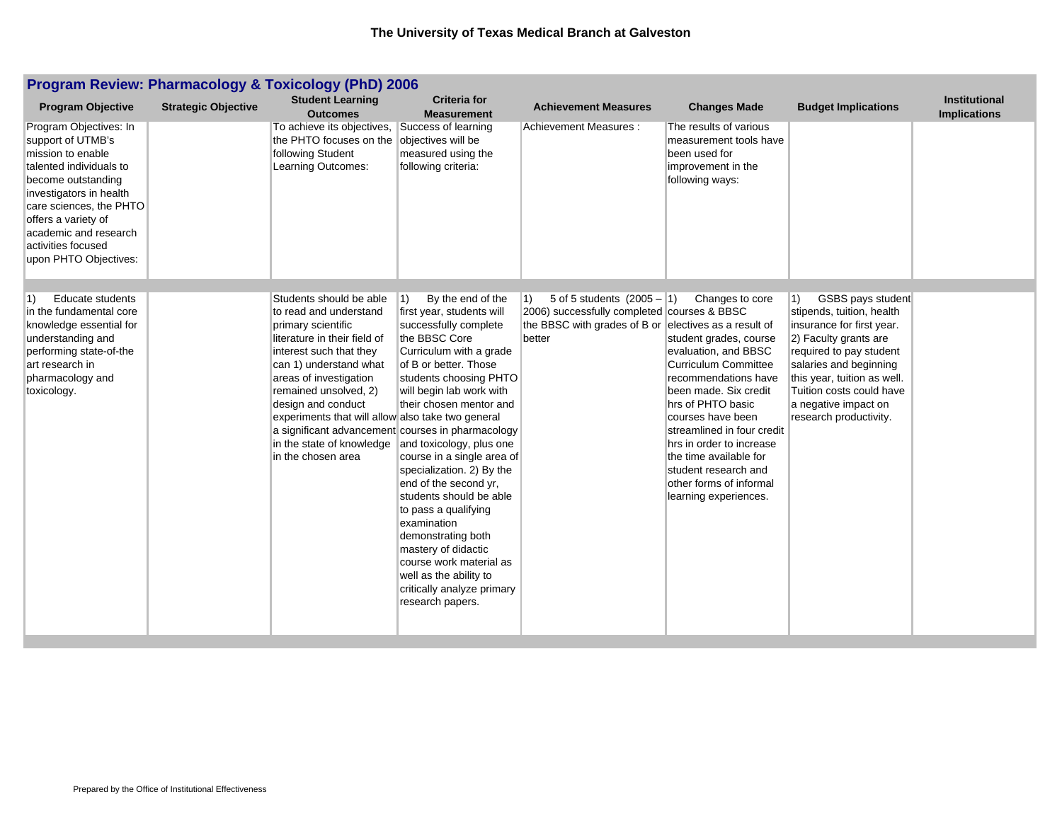| <b>Program Review: Pharmacology &amp; Toxicology (PhD) 2006</b>                                                                                                                                                                                                        |                            |                                                                                                                                                                                                                                                                                                                                                                                                    |                                                                                                                                                                                                                                                                                                                                                                                                                                                                                                                                                                                    |                                                                                                                                                               |                                                                                                                                                                                                                                                                                                                                                             |                                                                                                                                                                                                                                                                                      |                                             |  |
|------------------------------------------------------------------------------------------------------------------------------------------------------------------------------------------------------------------------------------------------------------------------|----------------------------|----------------------------------------------------------------------------------------------------------------------------------------------------------------------------------------------------------------------------------------------------------------------------------------------------------------------------------------------------------------------------------------------------|------------------------------------------------------------------------------------------------------------------------------------------------------------------------------------------------------------------------------------------------------------------------------------------------------------------------------------------------------------------------------------------------------------------------------------------------------------------------------------------------------------------------------------------------------------------------------------|---------------------------------------------------------------------------------------------------------------------------------------------------------------|-------------------------------------------------------------------------------------------------------------------------------------------------------------------------------------------------------------------------------------------------------------------------------------------------------------------------------------------------------------|--------------------------------------------------------------------------------------------------------------------------------------------------------------------------------------------------------------------------------------------------------------------------------------|---------------------------------------------|--|
| <b>Program Objective</b>                                                                                                                                                                                                                                               | <b>Strategic Objective</b> | <b>Student Learning</b><br><b>Outcomes</b>                                                                                                                                                                                                                                                                                                                                                         | <b>Criteria for</b><br><b>Measurement</b>                                                                                                                                                                                                                                                                                                                                                                                                                                                                                                                                          | <b>Achievement Measures</b>                                                                                                                                   | <b>Changes Made</b>                                                                                                                                                                                                                                                                                                                                         | <b>Budget Implications</b>                                                                                                                                                                                                                                                           | <b>Institutional</b><br><b>Implications</b> |  |
| Program Objectives: In<br>support of UTMB's<br>mission to enable<br>talented individuals to<br>become outstanding<br>investigators in health<br>care sciences, the PHTO<br>offers a variety of<br>academic and research<br>activities focused<br>upon PHTO Objectives: |                            | To achieve its objectives,<br>the PHTO focuses on the<br>following Student<br>Learning Outcomes:                                                                                                                                                                                                                                                                                                   | Success of learning<br>objectives will be<br>measured using the<br>following criteria:                                                                                                                                                                                                                                                                                                                                                                                                                                                                                             | Achievement Measures:                                                                                                                                         | The results of various<br>measurement tools have<br>been used for<br>improvement in the<br>following ways:                                                                                                                                                                                                                                                  |                                                                                                                                                                                                                                                                                      |                                             |  |
| <b>Educate students</b><br>1)<br>in the fundamental core<br>knowledge essential for<br>understanding and<br>performing state-of-the<br>art research in<br>pharmacology and<br>toxicology.                                                                              |                            | Students should be able<br>to read and understand<br>primary scientific<br>literature in their field of<br>interest such that they<br>can 1) understand what<br>areas of investigation<br>remained unsolved, 2)<br>design and conduct<br>experiments that will allow also take two general<br>a significant advancement courses in pharmacology<br>in the state of knowledge<br>in the chosen area | By the end of the<br>$ 1\rangle$<br>first year, students will<br>successfully complete<br>the BBSC Core<br>Curriculum with a grade<br>of B or better. Those<br>students choosing PHTO<br>will begin lab work with<br>their chosen mentor and<br>and toxicology, plus one<br>course in a single area of<br>specialization. 2) By the<br>end of the second yr,<br>students should be able<br>to pass a qualifying<br>examination<br>demonstrating both<br>mastery of didactic<br>course work material as<br>well as the ability to<br>critically analyze primary<br>research papers. | 5 of 5 students $(2005 - 1)$<br>$ 1\rangle$<br>2006) successfully completed courses & BBSC<br>the BBSC with grades of B or electives as a result of<br>better | Changes to core<br>student grades, course<br>evaluation, and BBSC<br><b>Curriculum Committee</b><br>recommendations have<br>been made. Six credit<br>hrs of PHTO basic<br>courses have been<br>streamlined in four credit<br>hrs in order to increase<br>the time available for<br>student research and<br>other forms of informal<br>learning experiences. | GSBS pays student<br>$\vert$ 1)<br>stipends, tuition, health<br>insurance for first year.<br>2) Faculty grants are<br>required to pay student<br>salaries and beginning<br>this year, tuition as well.<br>Tuition costs could have<br>a negative impact on<br>research productivity. |                                             |  |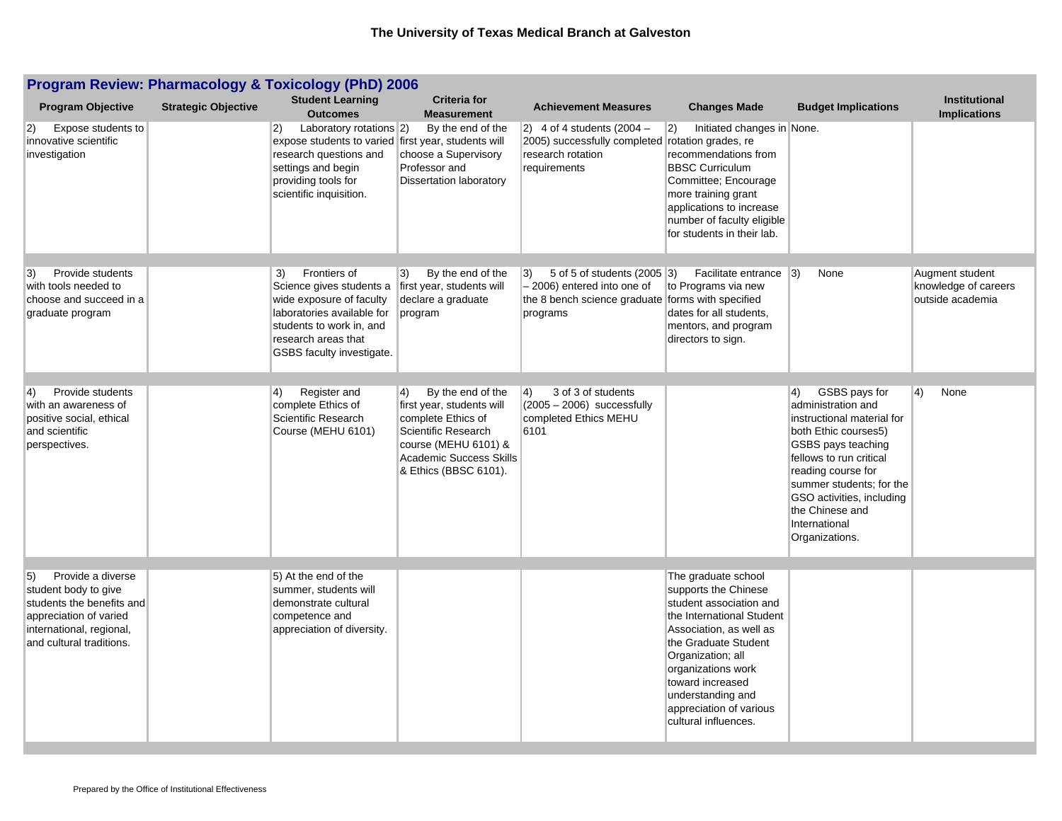| <b>Program Review: Pharmacology &amp; Toxicology (PhD) 2006</b>                                                                     |                            |                                                                                                                                                                                                          |                                                                                                                                                    |                                                                                                                             |                                                                                                                                                                                                                                                                        |                                                                                                                                                                                                                                                                |                                             |  |
|-------------------------------------------------------------------------------------------------------------------------------------|----------------------------|----------------------------------------------------------------------------------------------------------------------------------------------------------------------------------------------------------|----------------------------------------------------------------------------------------------------------------------------------------------------|-----------------------------------------------------------------------------------------------------------------------------|------------------------------------------------------------------------------------------------------------------------------------------------------------------------------------------------------------------------------------------------------------------------|----------------------------------------------------------------------------------------------------------------------------------------------------------------------------------------------------------------------------------------------------------------|---------------------------------------------|--|
| <b>Program Objective</b>                                                                                                            | <b>Strategic Objective</b> | <b>Student Learning</b><br><b>Outcomes</b>                                                                                                                                                               | <b>Criteria for</b><br><b>Measurement</b>                                                                                                          | <b>Achievement Measures</b>                                                                                                 | <b>Changes Made</b>                                                                                                                                                                                                                                                    | <b>Budget Implications</b>                                                                                                                                                                                                                                     | <b>Institutional</b><br><b>Implications</b> |  |
| Expose students to<br>2)<br>innovative scientific<br>investigation                                                                  |                            | $ 2\rangle$<br>Laboratory rotations $ 2\rangle$<br>expose students to varied first year, students will<br>research questions and<br>settings and begin<br>providing tools for<br>scientific inquisition. | By the end of the<br>choose a Supervisory<br>Professor and<br><b>Dissertation laboratory</b>                                                       | $\vert$ 2) 4 of 4 students (2004 –<br>2005) successfully completed rotation grades, re<br>research rotation<br>requirements | 2)<br>Initiated changes in None.<br>recommendations from<br><b>BBSC Curriculum</b><br>Committee; Encourage<br>more training grant<br>applications to increase<br>number of faculty eligible<br>for students in their lab.                                              |                                                                                                                                                                                                                                                                |                                             |  |
| Provide students<br>3)                                                                                                              |                            | 3)<br>Frontiers of                                                                                                                                                                                       | By the end of the<br>$ 3\rangle$                                                                                                                   | 5 of 5 of students (2005 3)<br>$ 3\rangle$                                                                                  | Facilitate entrance 3)                                                                                                                                                                                                                                                 | None                                                                                                                                                                                                                                                           | Augment student                             |  |
| with tools needed to<br>choose and succeed in a<br>graduate program                                                                 |                            | Science gives students a<br>wide exposure of faculty<br>laboratories available for<br>students to work in, and<br>research areas that<br>GSBS faculty investigate.                                       | first year, students will<br>declare a graduate<br>program                                                                                         | - 2006) entered into one of<br>the 8 bench science graduate forms with specified<br>programs                                | to Programs via new<br>dates for all students,<br>mentors, and program<br>directors to sign.                                                                                                                                                                           |                                                                                                                                                                                                                                                                | knowledge of careers<br>outside academia    |  |
| Provide students<br>$ 4\rangle$                                                                                                     |                            | $\left( 4\right)$<br>Register and                                                                                                                                                                        | By the end of the<br>$ 4\rangle$                                                                                                                   | 3 of 3 of students<br>$ 4\rangle$                                                                                           |                                                                                                                                                                                                                                                                        | GSBS pays for<br>4)                                                                                                                                                                                                                                            | $ 4\rangle$<br>None                         |  |
| with an awareness of<br>positive social, ethical<br>and scientific<br>perspectives.                                                 |                            | complete Ethics of<br>Scientific Research<br>Course (MEHU 6101)                                                                                                                                          | first year, students will<br>complete Ethics of<br>Scientific Research<br>course (MEHU 6101) &<br>Academic Success Skills<br>& Ethics (BBSC 6101). | $(2005 - 2006)$ successfully<br>completed Ethics MEHU<br>6101                                                               |                                                                                                                                                                                                                                                                        | administration and<br>instructional material for<br>both Ethic courses5)<br>GSBS pays teaching<br>fellows to run critical<br>reading course for<br>summer students; for the<br>GSO activities, including<br>the Chinese and<br>International<br>Organizations. |                                             |  |
| Provide a diverse<br>5)                                                                                                             |                            | 5) At the end of the                                                                                                                                                                                     |                                                                                                                                                    |                                                                                                                             | The graduate school                                                                                                                                                                                                                                                    |                                                                                                                                                                                                                                                                |                                             |  |
| student body to give<br>students the benefits and<br>appreciation of varied<br>international, regional,<br>and cultural traditions. |                            | summer, students will<br>demonstrate cultural<br>competence and<br>appreciation of diversity.                                                                                                            |                                                                                                                                                    |                                                                                                                             | supports the Chinese<br>student association and<br>the International Student<br>Association, as well as<br>the Graduate Student<br>Organization; all<br>organizations work<br>toward increased<br>understanding and<br>appreciation of various<br>cultural influences. |                                                                                                                                                                                                                                                                |                                             |  |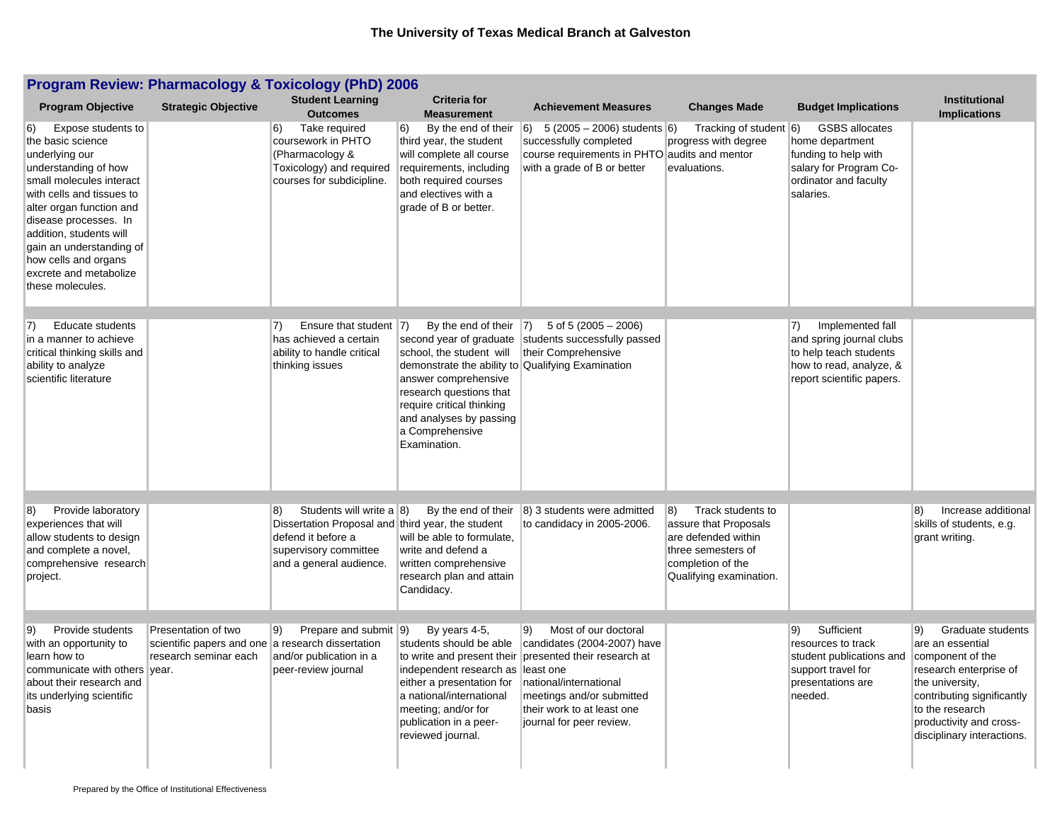| <b>Program Review: Pharmacology &amp; Toxicology (PhD) 2006</b>                                                                                                                                                                                                                                                                               |                                                                                                            |                                                                                                                                                                                 |                                                                                                                                                                                                                                                                               |                                                                                                                                                                                                                                      |                                                                                                                                                        |                                                                                                                                              |                                                                                                                                                                                                                        |  |
|-----------------------------------------------------------------------------------------------------------------------------------------------------------------------------------------------------------------------------------------------------------------------------------------------------------------------------------------------|------------------------------------------------------------------------------------------------------------|---------------------------------------------------------------------------------------------------------------------------------------------------------------------------------|-------------------------------------------------------------------------------------------------------------------------------------------------------------------------------------------------------------------------------------------------------------------------------|--------------------------------------------------------------------------------------------------------------------------------------------------------------------------------------------------------------------------------------|--------------------------------------------------------------------------------------------------------------------------------------------------------|----------------------------------------------------------------------------------------------------------------------------------------------|------------------------------------------------------------------------------------------------------------------------------------------------------------------------------------------------------------------------|--|
| <b>Program Objective</b>                                                                                                                                                                                                                                                                                                                      | <b>Strategic Objective</b>                                                                                 | <b>Student Learning</b><br><b>Outcomes</b>                                                                                                                                      | <b>Criteria for</b><br><b>Measurement</b>                                                                                                                                                                                                                                     | <b>Achievement Measures</b>                                                                                                                                                                                                          | <b>Changes Made</b>                                                                                                                                    | <b>Budget Implications</b>                                                                                                                   | <b>Institutional</b><br><b>Implications</b>                                                                                                                                                                            |  |
| Expose students to<br><sup>6)</sup><br>the basic science<br>underlying our<br>understanding of how<br>small molecules interact<br>with cells and tissues to<br>alter organ function and<br>disease processes. In<br>addition, students will<br>gain an understanding of<br>how cells and organs<br>excrete and metabolize<br>these molecules. |                                                                                                            | $\vert 6 \rangle$<br>Take required<br>coursework in PHTO<br>(Pharmacology &<br>Toxicology) and required<br>courses for subdicipline.                                            | $\vert 6\rangle$<br>By the end of their<br>third year, the student<br>will complete all course<br>requirements, including<br>both required courses<br>and electives with a<br>grade of B or better.                                                                           | $ 6)$ 5 (2005 – 2006) students 6)<br>successfully completed<br>course requirements in PHTO audits and mentor<br>with a grade of B or better                                                                                          | Tracking of student 6)<br>progress with degree<br>evaluations.                                                                                         | <b>GSBS</b> allocates<br>home department<br>funding to help with<br>salary for Program Co-<br>ordinator and faculty<br>salaries.             |                                                                                                                                                                                                                        |  |
| $\vert 7)$<br><b>Educate students</b><br>in a manner to achieve<br>critical thinking skills and<br>ability to analyze<br>scientific literature                                                                                                                                                                                                |                                                                                                            | Ensure that student $ 7\rangle$<br>7)<br>has achieved a certain<br>ability to handle critical<br>thinking issues                                                                | By the end of their<br>second year of graduate<br>school, the student will<br>demonstrate the ability to Qualifying Examination<br>answer comprehensive<br>research questions that<br>require critical thinking<br>and analyses by passing<br>a Comprehensive<br>Examination. | $ 7\rangle$<br>5 of 5 $(2005 - 2006)$<br>students successfully passed<br>their Comprehensive                                                                                                                                         |                                                                                                                                                        | $\vert 7)$<br>Implemented fall<br>and spring journal clubs<br>to help teach students<br>how to read, analyze, &<br>report scientific papers. |                                                                                                                                                                                                                        |  |
| 8)<br>Provide laboratory<br>experiences that will<br>allow students to design<br>and complete a novel,<br>comprehensive research<br>project.                                                                                                                                                                                                  |                                                                                                            | $ 8\rangle$<br>Students will write a $ 8\rangle$<br>Dissertation Proposal and third year, the student<br>defend it before a<br>supervisory committee<br>and a general audience. | By the end of their<br>will be able to formulate,<br>write and defend a<br>written comprehensive<br>research plan and attain<br>Candidacy.                                                                                                                                    | 8) 3 students were admitted<br>to candidacy in 2005-2006.                                                                                                                                                                            | $ 8\rangle$<br>Track students to<br>assure that Proposals<br>are defended within<br>three semesters of<br>completion of the<br>Qualifying examination. |                                                                                                                                              | 8)<br>Increase additional<br>skills of students, e.g.<br>grant writing.                                                                                                                                                |  |
| Provide students<br>9)<br>with an opportunity to<br>learn how to<br>communicate with others<br>about their research and<br>its underlying scientific<br>basis                                                                                                                                                                                 | Presentation of two<br>scientific papers and one a research dissertation<br>research seminar each<br>vear. | 9)<br>Prepare and submit<br>and/or publication in a<br>peer-review journal                                                                                                      | 9)<br>By years 4-5,<br>students should be able<br>independent research as least one<br>either a presentation for<br>a national/international<br>meeting; and/or for<br>publication in a peer-<br>reviewed journal.                                                            | 9)<br>Most of our doctoral<br>candidates (2004-2007) have<br>to write and present their presented their research at<br>national/international<br>meetings and/or submitted<br>their work to at least one<br>journal for peer review. |                                                                                                                                                        | Sufficient<br>9)<br>resources to track<br>student publications and<br>support travel for<br>presentations are<br>needed.                     | Graduate students<br>9)<br>are an essential<br>component of the<br>research enterprise of<br>the university,<br>contributing significantly<br>to the research<br>productivity and cross-<br>disciplinary interactions. |  |